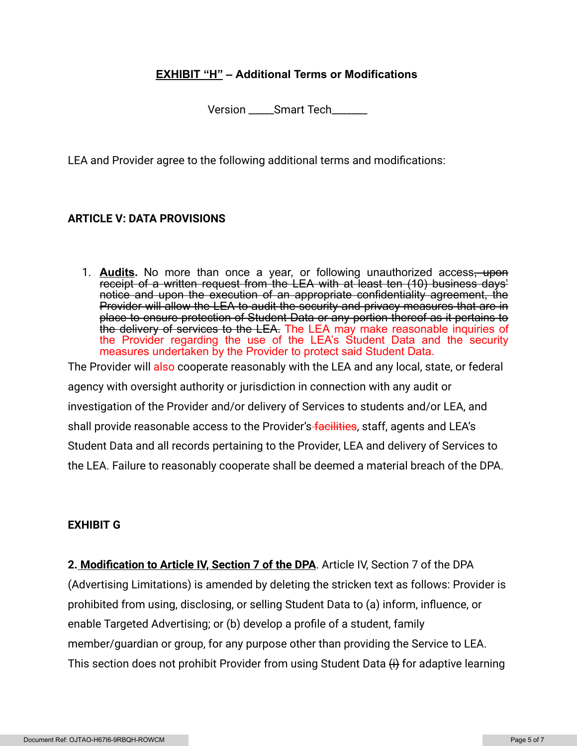## **EXHIBIT "H" – Additional Terms or Modifications**

Version \_\_\_\_Smart Tech

LEA and Provider agree to the following additional terms and modifications:

## **ARTICLE V: DATA PROVISIONS**

1. **Audits.** No more than once a year, or following unauthorized access, upon receipt of a written request from the LEA with at least ten (10) business days' notice and upon the execution of an appropriate confidentiality agreement, the Provider will allow the LEA to audit the security and privacy measures that are in place to ensure protection of Student Data or any portion thereof as it pertains to the delivery of services to the LEA. The LEA may make reasonable inquiries of the Provider regarding the use of the LEA's Student Data and the security measures undertaken by the Provider to protect said Student Data.

The Provider will also cooperate reasonably with the LEA and any local, state, or federal agency with oversight authority or jurisdiction in connection with any audit or investigation of the Provider and/or delivery of Services to students and/or LEA, and shall provide reasonable access to the Provider's facilities, staff, agents and LEA's Student Data and all records pertaining to the Provider, LEA and delivery of Services to the LEA. Failure to reasonably cooperate shall be deemed a material breach of the DPA.

### **EXHIBIT G**

**2. Modification to Article IV, Section 7 of the DPA**. Article IV, Section 7 of the DPA (Advertising Limitations) is amended by deleting the stricken text as follows: Provider is prohibited from using, disclosing, or selling Student Data to (a) inform, influence, or enable Targeted Advertising; or (b) develop a profile of a student, family member/guardian or group, for any purpose other than providing the Service to LEA. This section does not prohibit Provider from using Student Data  $\overline{H}$  for adaptive learning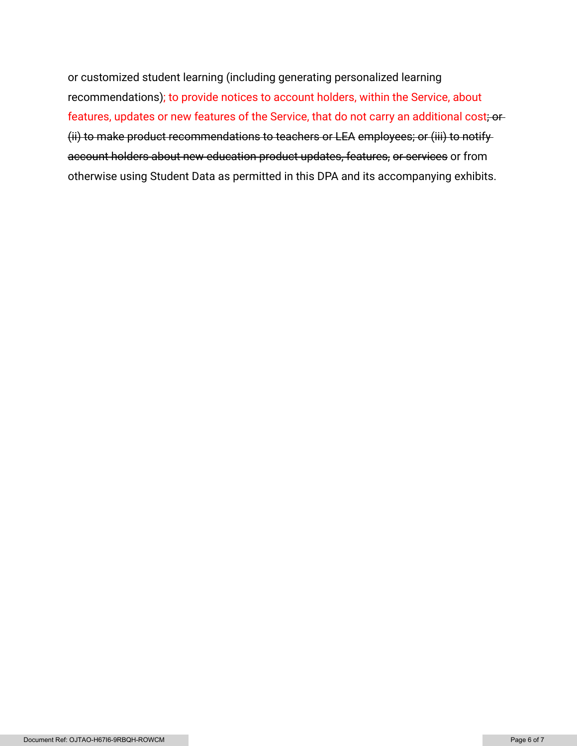or customized student learning (including generating personalized learning recommendations); to provide notices to account holders, within the Service, about features, updates or new features of the Service, that do not carry an additional cost; or (ii) to make product recommendations to teachers or LEA employees; or (iii) to notify account holders about new education product updates, features, or services or from otherwise using Student Data as permitted in this DPA and its accompanying exhibits.